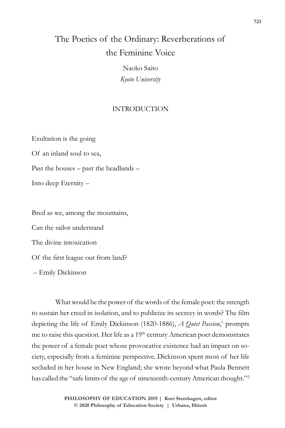# The Poetics of the Ordinary: Reverberations of the Feminine Voice

Naoko Saito *Kyoto University*

# INTRODUCTION

Exultation is the going Of an inland soul to sea, Past the houses – past the headlands – Into deep Eternity –

Bred as we, among the mountains, Can the sailor understand The divine intoxication Of the first league out from land? – Emily Dickinson

What would be the power of the words of the female poet: the strength to sustain her creed in isolation, and to publicize its secrecy in words? The film depicting the life of Emily Dickinson (1820-1886), *A Quiet Passion*,<sup>1</sup> prompts me to raise this question. Her life as a 19<sup>th</sup> century American poet demonstrates the power of a female poet whose provocative existence had an impact on society, especially from a feminine perspective. Dickinson spent most of her life secluded in her house in New England; she wrote beyond what Paula Bennett has called the "safe limits of the age of nineteenth-century American thought."<sup>2</sup>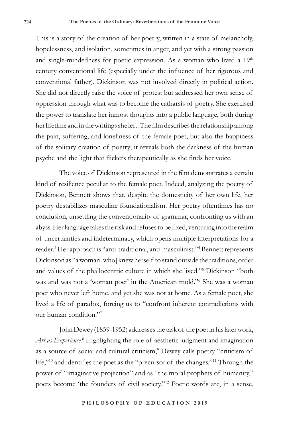This is a story of the creation of her poetry, written in a state of melancholy, hopelessness, and isolation, sometimes in anger, and yet with a strong passion and single-mindedness for poetic expression. As a woman who lived a 19th century conventional life (especially under the influence of her rigorous and conventional father), Dickinson was not involved directly in political action. She did not directly raise the voice of protest but addressed her own sense of oppression through what was to become the catharsis of poetry. She exercised the power to translate her inmost thoughts into a public language, both during her lifetime and in the writings she left. The film describes the relationship among the pain, suffering, and loneliness of the female poet, but also the happiness of the solitary creation of poetry; it reveals both the darkness of the human psyche and the light that flickers therapeutically as she finds her voice.

The voice of Dickinson represented in the film demonstrates a certain kind of resilience peculiar to the female poet. Indeed, analyzing the poetry of Dickinson, Bennett shows that, despite the domesticity of her own life, her poetry destabilizes masculine foundationalism. Her poetry oftentimes has no conclusion, unsettling the conventionality of grammar, confronting us with an abyss. Her language takes the risk and refuses to be fixed, venturing into the realm of uncertainties and indeterminacy, which opens multiple interpretations for a reader.3 Her approach is "anti-traditional, anti-masculinist."4 Bennett represents Dickinson as "a woman [who] knew herself to stand outside the traditions, order and values of the phallocentric culture in which she lived."5 Dickinson "both was and was not a 'woman poet' in the American mold."6 She was a woman poet who never left home, and yet she was not at home. As a female poet, she lived a life of paradox, forcing us to "confront inherent contradictions with our human condition."7

John Dewey (1859-1952) addresses the task of the poet in his later work, Art as Experience.<sup>8</sup> Highlighting the role of aesthetic judgment and imagination as a source of social and cultural criticism,<sup>9</sup> Dewey calls poetry "criticism of life,"10 and identifies the poet as the "precursor of the changes."11 Through the power of "imaginative projection" and as "the moral prophets of humanity," poets become 'the founders of civil society."12 Poetic words are, in a sense,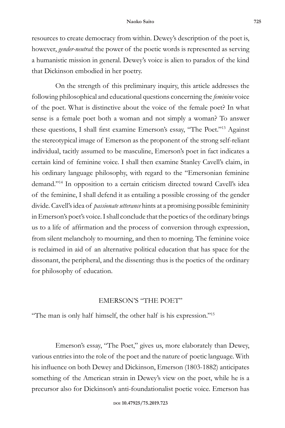resources to create democracy from within. Dewey's description of the poet is, however, *gender-neutral*: the power of the poetic words is represented as serving a humanistic mission in general. Dewey's voice is alien to paradox of the kind that Dickinson embodied in her poetry.

On the strength of this preliminary inquiry, this article addresses the following philosophical and educational questions concerning the *feminine* voice of the poet. What is distinctive about the voice of the female poet? In what sense is a female poet both a woman and not simply a woman? To answer these questions, I shall first examine Emerson's essay, "The Poet."13 Against the stereotypical image of Emerson as the proponent of the strong self-reliant individual, tacitly assumed to be masculine, Emerson's poet in fact indicates a certain kind of feminine voice. I shall then examine Stanley Cavell's claim, in his ordinary language philosophy, with regard to the "Emersonian feminine demand."14 In opposition to a certain criticism directed toward Cavell's idea of the feminine, I shall defend it as entailing a possible crossing of the gender divide. Cavell's idea of *passionate utterance* hints at a promising possible femininity in Emerson's poet's voice. I shall conclude that the poetics of the ordinary brings us to a life of affirmation and the process of conversion through expression, from silent melancholy to mourning, and then to morning. The feminine voice is reclaimed in aid of an alternative political education that has space for the dissonant, the peripheral, and the dissenting: thus is the poetics of the ordinary for philosophy of education.

# EMERSON'S "THE POET"

"The man is only half himself, the other half is his expression."15

Emerson's essay, "The Poet," gives us, more elaborately than Dewey, various entries into the role of the poet and the nature of poetic language. With his influence on both Dewey and Dickinson, Emerson (1803-1882) anticipates something of the American strain in Dewey's view on the poet, while he is a precursor also for Dickinson's anti-foundationalist poetic voice. Emerson has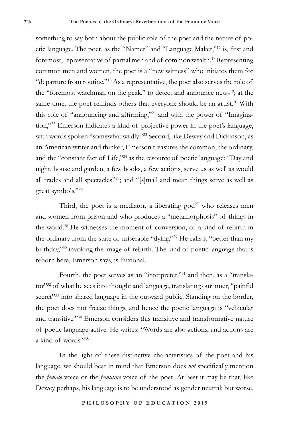something to say both about the public role of the poet and the nature of poetic language. The poet, as the "Namer" and "Language Maker,"16 is, first and foremost, representative of partial men and of common wealth.17 Representing common men and women, the poet is a "new witness" who initiates them for "departure from routine."18 As a representative, the poet also serves the role of the "foremost watchman on the peak," to detect and announce news<sup>19</sup>; at the same time, the poet reminds others that everyone should be an artist.<sup>20</sup> With this role of "announcing and affirming,"<sup>21</sup> and with the power of "Imagination,"22 Emerson indicates a kind of projective power in the poet's language, with words spoken "somewhat wildly."23 Second, like Dewey and Dickinson, as an American writer and thinker, Emerson treasures the common, the ordinary, and the "constant fact of Life,"24 as the resource of poetic language: "Day and night, house and garden, a few books, a few actions, serve us as well as would all trades and all spectacles"25; and "[s]mall and mean things serve as well as great symbols."26

Third, the poet is a mediator, a liberating  $\gcd^{27}$  who releases men and women from prison and who produces a "metamorphosis" of things in the world.28 He witnesses the moment of conversion, of a kind of rebirth in the ordinary from the state of miserable "dying."29 He calls it "better than my birthday,"<sup>30</sup> invoking the image of rebirth. The kind of poetic language that is reborn here, Emerson says, is fluxional.

Fourth, the poet serves as an "interpreter,"31 and then, as a "translator"<sup>32</sup> of what he sees into thought and language, translating our inner, "painful secret"<sup>33</sup> into shared language in the outward public. Standing on the border, the poet does not freeze things, and hence the poetic language is "vehicular and transitive."34 Emerson considers this transitive and transformative nature of poetic language active. He writes: "Words are also actions, and actions are a kind of words."35

In the light of these distinctive characteristics of the poet and his language, we should bear in mind that Emerson does *not* specifically mention the *female* voice or the *feminine* voice of the poet. At best it may be that, like Dewey perhaps, his language is to be understood as gender neutral; but worse,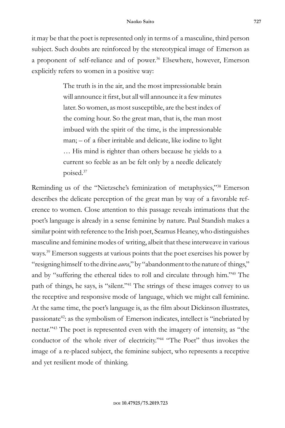it may be that the poet is represented only in terms of a masculine, third person subject. Such doubts are reinforced by the stereotypical image of Emerson as a proponent of self-reliance and of power.<sup>36</sup> Elsewhere, however, Emerson explicitly refers to women in a positive way:

> The truth is in the air, and the most impressionable brain will announce it first, but all will announce it a few minutes later. So women, as most susceptible, are the best index of the coming hour. So the great man, that is, the man most imbued with the spirit of the time, is the impressionable man; – of a fiber irritable and delicate, like iodine to light … His mind is righter than others because he yields to a current so feeble as an be felt only by a needle delicately poised.37

Reminding us of the "Nietzsche's feminization of metaphysics,"38 Emerson describes the delicate perception of the great man by way of a favorable reference to women. Close attention to this passage reveals intimations that the poet's language is already in a sense feminine by nature. Paul Standish makes a similar point with reference to the Irish poet, Seamus Heaney, who distinguishes masculine and feminine modes of writing, albeit that these interweave in various ways.<sup>39</sup> Emerson suggests at various points that the poet exercises his power by "resigning himself to the divine *aura*," by "abandonment to the nature of things," and by "suffering the ethereal tides to roll and circulate through him."40 The path of things, he says, is "silent."41 The strings of these images convey to us the receptive and responsive mode of language, which we might call feminine. At the same time, the poet's language is, as the film about Dickinson illustrates, passionate<sup>42</sup>: as the symbolism of Emerson indicates, intellect is "inebriated by nectar."43 The poet is represented even with the imagery of intensity, as "the conductor of the whole river of electricity."44 "The Poet" thus invokes the image of a re-placed subject, the feminine subject, who represents a receptive and yet resilient mode of thinking.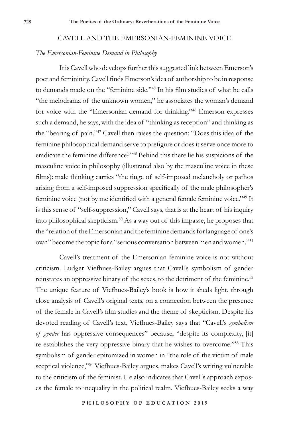#### CAVELL AND THE EMERSONIAN-FEMININE VOICE

## *The Emersonian-Feminine Demand in Philosophy*

It is Cavell who develops further this suggested link between Emerson's poet and femininity. Cavell finds Emerson's idea of authorship to be in response to demands made on the "feminine side."45 In his film studies of what he calls "the melodrama of the unknown women," he associates the woman's demand for voice with the "Emersonian demand for thinking."46 Emerson expresses such a demand, he says, with the idea of "thinking as reception" and thinking as the "bearing of pain."47 Cavell then raises the question: "Does this idea of the feminine philosophical demand serve to prefigure or does it serve once more to eradicate the feminine difference?"48 Behind this there lie his suspicions of the masculine voice in philosophy (illustrated also by the masculine voice in these films): male thinking carries "the tinge of self-imposed melancholy or pathos arising from a self-imposed suppression specifically of the male philosopher's feminine voice (not by me identified with a general female feminine voice."49 It is this sense of "self-suppression," Cavell says, that is at the heart of his inquiry into philosophical skepticism.50 As a way out of this impasse, he proposes that the "relation of the Emersonian and the feminine demands for language of one's own" become the topic for a "serious conversation between men and women."51

Cavell's treatment of the Emersonian feminine voice is not without criticism. Ludger Viefhues-Bailey argues that Cavell's symbolism of gender reinstates an oppressive binary of the sexes, to the detriment of the feminine.<sup>52</sup> The unique feature of Viefhues-Bailey's book is how it sheds light, through close analysis of Cavell's original texts, on a connection between the presence of the female in Cavell's film studies and the theme of skepticism. Despite his devoted reading of Cavell's text, Viefhues-Bailey says that "Cavell's *symbolism of gender* has oppressive consequences" because, "despite its complexity, [it] re-establishes the very oppressive binary that he wishes to overcome."53 This symbolism of gender epitomized in women in "the role of the victim of male sceptical violence,"54 Viefhues-Bailey argues, makes Cavell's writing vulnerable to the criticism of the feminist. He also indicates that Cavell's approach exposes the female to inequality in the political realm. Viefhues-Bailey seeks a way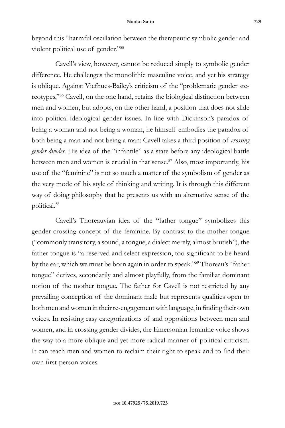beyond this "harmful oscillation between the therapeutic symbolic gender and violent political use of gender."55

Cavell's view, however, cannot be reduced simply to symbolic gender difference. He challenges the monolithic masculine voice, and yet his strategy is oblique. Against Viefhues-Bailey's criticism of the "problematic gender stereotypes,"56 Cavell, on the one hand, retains the biological distinction between men and women, but adopts, on the other hand, a position that does not slide into political-ideological gender issues. In line with Dickinson's paradox of being a woman and not being a woman, he himself embodies the paradox of both being a man and not being a man: Cavell takes a third position of *crossing gender divides*. His idea of the "infantile" as a state before any ideological battle between men and women is crucial in that sense.<sup>57</sup> Also, most importantly, his use of the "feminine" is not so much a matter of the symbolism of gender as the very mode of his style of thinking and writing. It is through this different way of doing philosophy that he presents us with an alternative sense of the political.58

Cavell's Thoreauvian idea of the "father tongue" symbolizes this gender crossing concept of the feminine. By contrast to the mother tongue ("commonly transitory, a sound, a tongue, a dialect merely, almost brutish"), the father tongue is "a reserved and select expression, too significant to be heard by the ear, which we must be born again in order to speak."59 Thoreau's "father tongue" derives, secondarily and almost playfully, from the familiar dominant notion of the mother tongue. The father for Cavell is not restricted by any prevailing conception of the dominant male but represents qualities open to both men and women in their re-engagement with language, in finding their own voices. In resisting easy categorizations of and oppositions between men and women, and in crossing gender divides, the Emersonian feminine voice shows the way to a more oblique and yet more radical manner of political criticism. It can teach men and women to reclaim their right to speak and to find their own first-person voices.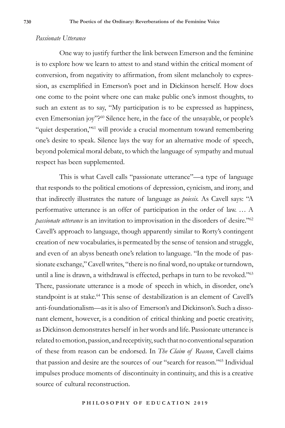### *Passionate Utterance*

One way to justify further the link between Emerson and the feminine is to explore how we learn to attest to and stand within the critical moment of conversion, from negativity to affirmation, from silent melancholy to expression, as exemplified in Emerson's poet and in Dickinson herself. How does one come to the point where one can make public one's inmost thoughts, to such an extent as to say, "My participation is to be expressed as happiness, even Emersonian joy"?<sup>60</sup> Silence here, in the face of the unsayable, or people's "quiet desperation,"<sup>61</sup> will provide a crucial momentum toward remembering one's desire to speak. Silence lays the way for an alternative mode of speech, beyond polemical moral debate, to which the language of sympathy and mutual respect has been supplemented.

This is what Cavell calls "passionate utterance"—a type of language that responds to the political emotions of depression, cynicism, and irony, and that indirectly illustrates the nature of language as *poiesis.* As Cavell says: "A performative utterance is an offer of participation in the order of law. … A *passionate utterance* is an invitation to improvisation in the disorders of desire."62 Cavell's approach to language, though apparently similar to Rorty's contingent creation of new vocabularies, is permeated by the sense of tension and struggle, and even of an abyss beneath one's relation to language. "In the mode of passionate exchange," Cavell writes, "there is no final word, no uptake or turndown, until a line is drawn, a withdrawal is effected, perhaps in turn to be revoked."63 There, passionate utterance is a mode of speech in which, in disorder, one's standpoint is at stake.<sup>64</sup> This sense of destabilization is an element of Cavell's anti-foundationalism—as it is also of Emerson's and Dickinson's. Such a dissonant element, however, is a condition of critical thinking and poetic creativity, as Dickinson demonstrates herself in her words and life. Passionate utterance is related to emotion, passion, and receptivity, such that no conventional separation of these from reason can be endorsed. In *The Claim of Reason*, Cavell claims that passion and desire are the sources of our "search for reason."65 Individual impulses produce moments of discontinuity in continuity, and this is a creative source of cultural reconstruction.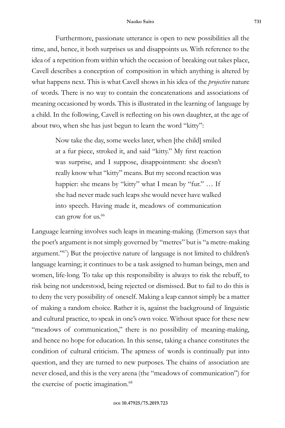Furthermore, passionate utterance is open to new possibilities all the time, and, hence, it both surprises us and disappoints us. With reference to the idea of a repetition from within which the occasion of breaking out takes place, Cavell describes a conception of composition in which anything is altered by what happens next. This is what Cavell shows in his idea of the *projective* nature of words. There is no way to contain the concatenations and associations of meaning occasioned by words. This is illustrated in the learning of language by a child. In the following, Cavell is reflecting on his own daughter, at the age of about two, when she has just begun to learn the word "kitty":

> Now take the day, some weeks later, when [the child] smiled at a fur piece, stroked it, and said "kitty." My first reaction was surprise, and I suppose, disappointment: she doesn't really know what "kitty" means. But my second reaction was happier: she means by "kitty" what I mean by "fur." ... If she had never made such leaps she would never have walked into speech. Having made it, meadows of communication can grow for us.<sup>66</sup>

Language learning involves such leaps in meaning-making. (Emerson says that the poet's argument is not simply governed by "metres" but is "a metre-making argument."67) But the projective nature of language is not limited to children's language learning; it continues to be a task assigned to human beings, men and women, life-long. To take up this responsibility is always to risk the rebuff, to risk being not understood, being rejected or dismissed. But to fail to do this is to deny the very possibility of oneself. Making a leap cannot simply be a matter of making a random choice. Rather it is, against the background of linguistic and cultural practice, to speak in one's own voice. Without space for these new "meadows of communication," there is no possibility of meaning-making, and hence no hope for education. In this sense, taking a chance constitutes the condition of cultural criticism. The aptness of words is continually put into question, and they are turned to new purposes. The chains of association are never closed, and this is the very arena (the "meadows of communication") for the exercise of poetic imagination.<sup>68</sup>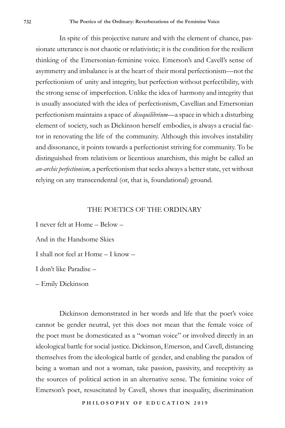In spite of this projective nature and with the element of chance, passionate utterance is not chaotic or relativistic; it is the condition for the resilient thinking of the Emersonian-feminine voice. Emerson's and Cavell's sense of asymmetry and imbalance is at the heart of their moral perfectionism—not the perfectionism of unity and integrity, but perfection without perfectibility, with the strong sense of imperfection. Unlike the idea of harmony and integrity that is usually associated with the idea of perfectionism, Cavellian and Emersonian perfectionism maintains a space of *disequilibrium*—a space in which a disturbing element of society, such as Dickinson herself embodies, is always a crucial factor in renovating the life of the community. Although this involves instability and dissonance, it points towards a perfectionist striving for community. To be distinguished from relativism or licentious anarchism, this might be called an *an-archic perfectionism,* a perfectionism that seeks always a better state, yet without relying on any transcendental (or, that is, foundational) ground.

#### THE POETICS OF THE ORDINARY

I never felt at Home – Below – And in the Handsome Skies I shall not feel at Home – I know – I don't like Paradise – – Emily Dickinson

Dickinson demonstrated in her words and life that the poet's voice cannot be gender neutral, yet this does not mean that the female voice of the poet must be domesticated as a "woman voice" or involved directly in an ideological battle for social justice. Dickinson, Emerson, and Cavell, distancing themselves from the ideological battle of gender, and enabling the paradox of being a woman and not a woman, take passion, passivity, and receptivity as the sources of political action in an alternative sense. The feminine voice of Emerson's poet, resuscitated by Cavell, shows that inequality, discrimination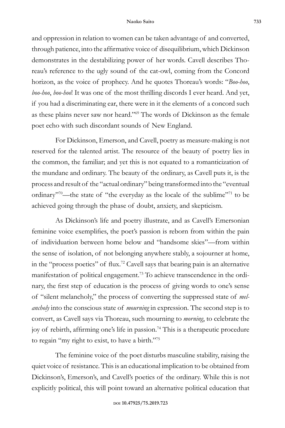#### **Naoko Saito 733**

and oppression in relation to women can be taken advantage of and converted, through patience, into the affirmative voice of disequilibrium, which Dickinson demonstrates in the destabilizing power of her words. Cavell describes Thoreau's reference to the ugly sound of the cat-owl, coming from the Concord horizon, as the voice of prophecy. And he quotes Thoreau's words: "*Boo-hoo*, *boo-hoo*, *boo-hoo*! It was one of the most thrilling discords I ever heard. And yet, if you had a discriminating ear, there were in it the elements of a concord such as these plains never saw nor heard."69 The words of Dickinson as the female poet echo with such discordant sounds of New England.

For Dickinson, Emerson, and Cavell, poetry as measure-making is not reserved for the talented artist. The resource of the beauty of poetry lies in the common, the familiar; and yet this is not equated to a romanticization of the mundane and ordinary. The beauty of the ordinary, as Cavell puts it, is the process and result of the "actual ordinary" being transformed into the "eventual ordinary"70—the state of "the everyday as the locale of the sublime"71 to be achieved going through the phase of doubt, anxiety, and skepticism.

As Dickinson's life and poetry illustrate, and as Cavell's Emersonian feminine voice exemplifies, the poet's passion is reborn from within the pain of individuation between home below and "handsome skies"—from within the sense of isolation, of not belonging anywhere stably, a sojourner at home, in the "process poetics" of flux.<sup>72</sup> Cavell says that bearing pain is an alternative manifestation of political engagement.<sup>73</sup> To achieve transcendence in the ordinary, the first step of education is the process of giving words to one's sense of "silent melancholy," the process of converting the suppressed state of *melancholy* into the conscious state of *mourning* in expression. The second step is to convert, as Cavell says via Thoreau, such mourning to *morning*, to celebrate the joy of rebirth, affirming one's life in passion.<sup>74</sup> This is a therapeutic procedure to regain "my right to exist, to have a birth."75

The feminine voice of the poet disturbs masculine stability, raising the quiet voice of resistance. This is an educational implication to be obtained from Dickinson's, Emerson's, and Cavell's poetics of the ordinary. While this is not explicitly political, this will point toward an alternative political education that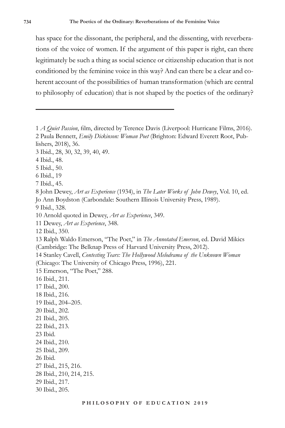has space for the dissonant, the peripheral, and the dissenting, with reverberations of the voice of women. If the argument of this paper is right, can there legitimately be such a thing as social science or citizenship education that is not conditioned by the feminine voice in this way? And can there be a clear and coherent account of the possibilities of human transformation (which are central to philosophy of education) that is not shaped by the poetics of the ordinary?

1 *A Quiet Passion*, film, directed by Terence Davis (Liverpool: Hurricane Films, 2016). 2 Paula Bennett, *Emily Dickinson: Woman Poet* (Brighton: Edward Everett Root, Publishers, 2018), 36. 3 Ibid., 28, 30, 32, 39, 40, 49. 4 Ibid., 48. 5 Ibid., 50. 6 Ibid., 19 7 Ibid., 45. 8 John Dewey, *Art as Experience* (1934), in *The Later Works of John Dewey*, Vol. 10, ed. Jo Ann Boydston (Carbondale: Southern Illinois University Press, 1989). 9 Ibid., 328. 10 Arnold quoted in Dewey, *Art as Experience*, 349. 11 Dewey, *Art as Experience*, 348. 12 Ibid., 350. 13 Ralph Waldo Emerson, "The Poet," in *The Annotated Emerson*, ed. David Mikics (Cambridge: The Belknap Press of Harvard University Press, 2012). 14 Stanley Cavell, *Contesting Tears: The Hollywood Melodrama of the Unknown Woman* (Chicago: The University of Chicago Press, 1996), 221. 15 Emerson, "The Poet," 288. 16 Ibid., 211. 17 Ibid., 200. 18 Ibid., 216. 19 Ibid., 204–205. 20 Ibid., 202. 21 Ibid., 205. 22 Ibid., 213. 23 Ibid. 24 Ibid., 210. 25 Ibid., 209. 26 Ibid. 27 Ibid., 215, 216. 28 Ibid., 210, 214, 215. 29 Ibid., 217. 30 Ibid., 205.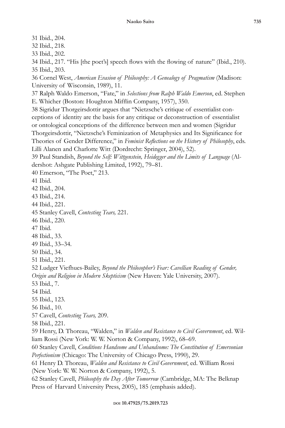31 Ibid., 204.

32 Ibid., 218.

33 Ibid., 202.

34 Ibid., 217. "His [the poet's] speech flows with the flowing of nature" (Ibid., 210). 35 Ibid., 203.

36 Cornel West, *American Evasion of Philosophy: A Genealogy of Pragmatism* (Madison: University of Wisconsin, 1989), 11.

37 Ralph Waldo Emerson, "Fate," in *Selections from Ralph Waldo Emerson*, ed. Stephen E. Whicher (Boston: Houghton Mifflin Company, 1957), 350.

38 Sigridur Thorgeirsdottir argues that "Nietzsche's critique of essentialist conceptions of identity are the basis for any critique or deconstruction of essentialist or ontological conceptions of the difference between men and women (Sigridur Thorgeirsdottir, "Nietzsche's Feminization of Metaphysics and Its Significance for Theories of Gender Difference," in *Feminist Reflections on the History of Philosophy*, eds. Lilli Alanen and Charlotte Witt (Dordrecht: Springer, 2004), 52).

39 Paul Standish, *Beyond the Self: Wittgenstein, Heidegger and the Limits of Language* (Aldershot: Ashgate Publishing Limited, 1992), 79–81.

40 Emerson, "The Poet," 213.

41 Ibid.

- 42 Ibid., 204.
- 43 Ibid., 214.
- 44 Ibid., 221.
- 45 Stanley Cavell, *Contesting Tears,* 221.
- 46 Ibid., 220.
- 47 Ibid.
- 48 Ibid., 33.
- 49 Ibid., 33–34.
- 50 Ibid., 34.
- 51 Ibid., 221.

52 Ludger Viefhues-Bailey, *Beyond the Philosopher's Fear: Cavellian Reading of Gender, Origin and Religion in Modern Skepticism* (New Haven: Yale University, 2007).

- 53 Ibid., 7.
- 54 Ibid.
- 55 Ibid., 123.
- 56 Ibid., 10.
- 57 Cavell, *Contesting Tears,* 209.
- 58 Ibid., 221.

59 Henry, D. Thoreau, "Walden," in *Walden and Resistance to Civil Government*, ed. William Rossi (New York: W. W. Norton & Company, 1992), 68–69.

60 Stanley Cavell, *Conditions Handsome and Unhandsome: The Constitution of Emersonian Perfectionism* (Chicago: The University of Chicago Press, 1990), 29.

61 Henry D. Thoreau, *Walden and Resistance to Civil Government*, ed. William Rossi (New York: W. W. Norton & Company, 1992), 5.

62 Stanley Cavell, *Philosophy the Day After Tomorrow* (Cambridge, MA: The Belknap Press of Harvard University Press, 2005), 185 (emphasis added).